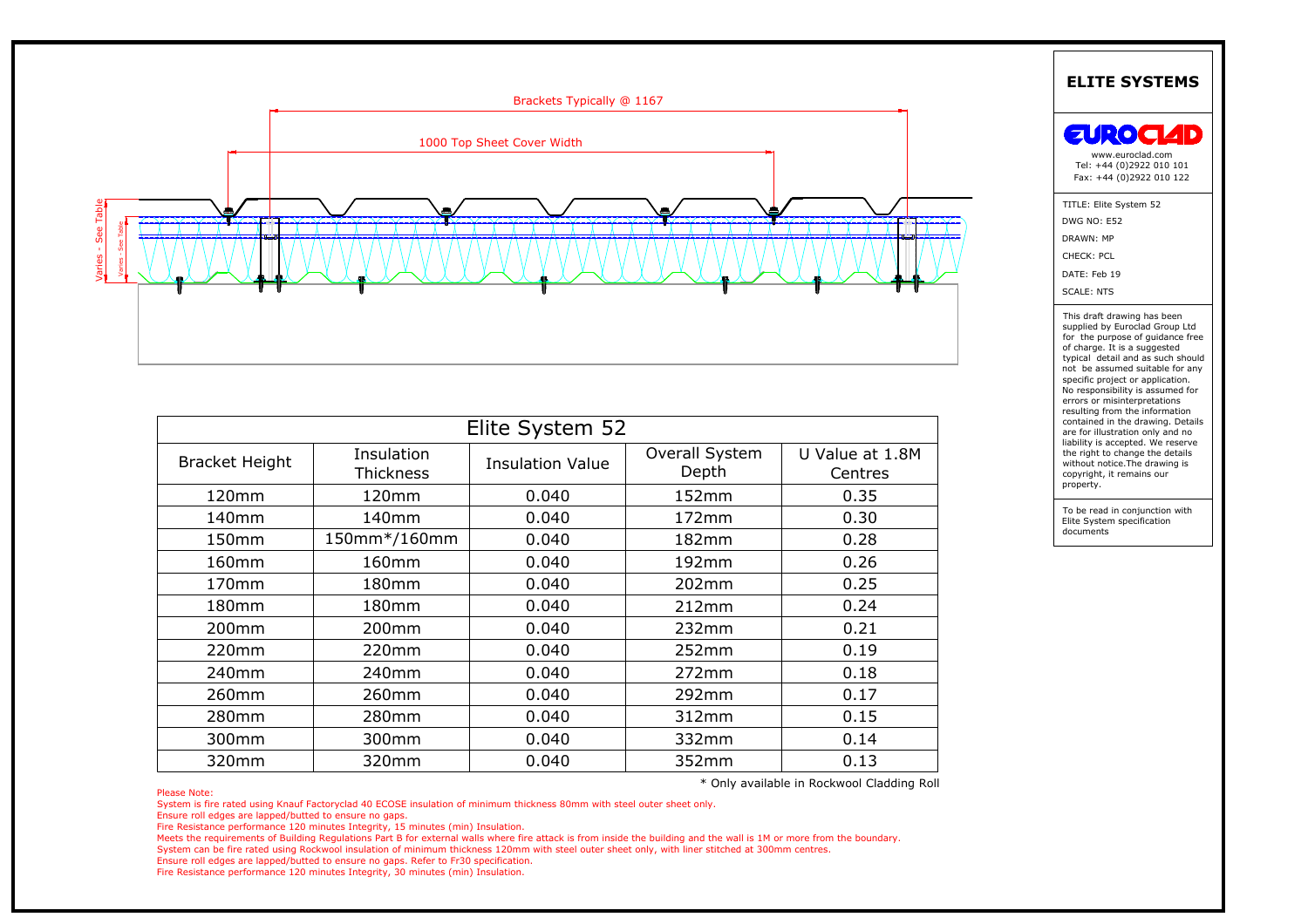

|                       |                         | Brackets Typically @ 1167  |                         |                            |                                                                                                                                                                                                                                                                                                                         |
|-----------------------|-------------------------|----------------------------|-------------------------|----------------------------|-------------------------------------------------------------------------------------------------------------------------------------------------------------------------------------------------------------------------------------------------------------------------------------------------------------------------|
|                       |                         | 1000 Top Sheet Cover Width |                         |                            | EUROCI<br>www.euroclad.com<br>Tel: +44 (0)2922 010 101<br>Fax: +44 (0)2922 010 122                                                                                                                                                                                                                                      |
|                       |                         |                            |                         |                            | TITLE: Elite System 52<br><b>DWG NO: E52</b><br>DRAWN: MP<br>CHECK: PCL<br>DATE: Feb 19<br><b>SCALE: NTS</b>                                                                                                                                                                                                            |
|                       |                         |                            |                         |                            | This draft drawing has been<br>supplied by Euroclad Group Ltd<br>for the purpose of guidance free                                                                                                                                                                                                                       |
|                       |                         | Elite System 52            |                         |                            | of charge. It is a suggested<br>typical detail and as such should<br>not be assumed suitable for any<br>specific project or application.<br>No responsibility is assumed for<br>errors or misinterpretations<br>resulting from the information<br>contained in the drawing. Details<br>are for illustration only and no |
| <b>Bracket Height</b> | Insulation<br>Thickness | <b>Insulation Value</b>    | Overall System<br>Depth | U Value at 1.8M<br>Centres | liability is accepted. We reserve<br>the right to change the details<br>without notice. The drawing is<br>copyright, it remains our                                                                                                                                                                                     |
| 120mm                 | 120mm                   | 0.040                      | 152mm                   | 0.35                       | property.                                                                                                                                                                                                                                                                                                               |
| 140mm                 | 140mm                   | 0.040                      | 172mm                   | 0.30                       | To be read in conjunction with<br>Elite System specification                                                                                                                                                                                                                                                            |
| 150mm                 | 150mm*/160mm            | 0.040                      | 182mm                   | 0.28                       | documents                                                                                                                                                                                                                                                                                                               |
| 160mm                 | 160mm                   | 0.040                      | 192mm                   | 0.26                       |                                                                                                                                                                                                                                                                                                                         |
| 170mm                 | 180mm                   | 0.040                      | 202mm                   | 0.25                       |                                                                                                                                                                                                                                                                                                                         |
| 180mm                 | 180mm                   | 0.040                      | 212mm                   | 0.24                       |                                                                                                                                                                                                                                                                                                                         |
| 200mm                 | 200mm                   | 0.040                      | 232mm                   | 0.21                       |                                                                                                                                                                                                                                                                                                                         |
| 220mm                 | 220mm                   | 0.040                      | 252mm                   | 0.19                       |                                                                                                                                                                                                                                                                                                                         |
| 240mm                 | 240mm                   | 0.040                      | 272mm                   | 0.18                       |                                                                                                                                                                                                                                                                                                                         |
| 260mm                 | 260mm                   | 0.040                      | 292mm                   | 0.17                       |                                                                                                                                                                                                                                                                                                                         |
| 280mm                 | 280mm                   | 0.040                      | 312mm                   | 0.15                       |                                                                                                                                                                                                                                                                                                                         |
| 300mm                 | 300mm                   | 0.040                      | 332mm                   | 0.14                       |                                                                                                                                                                                                                                                                                                                         |

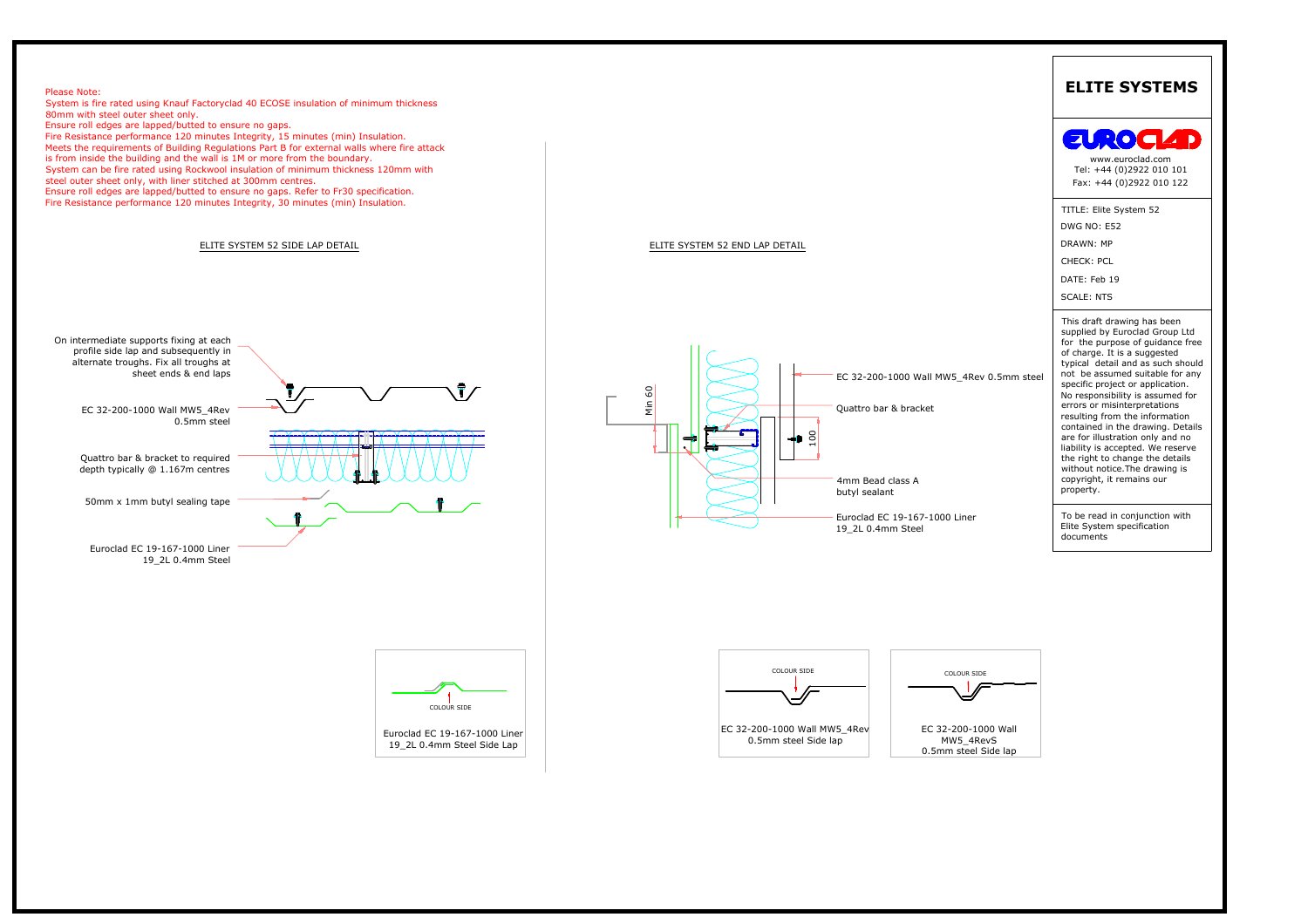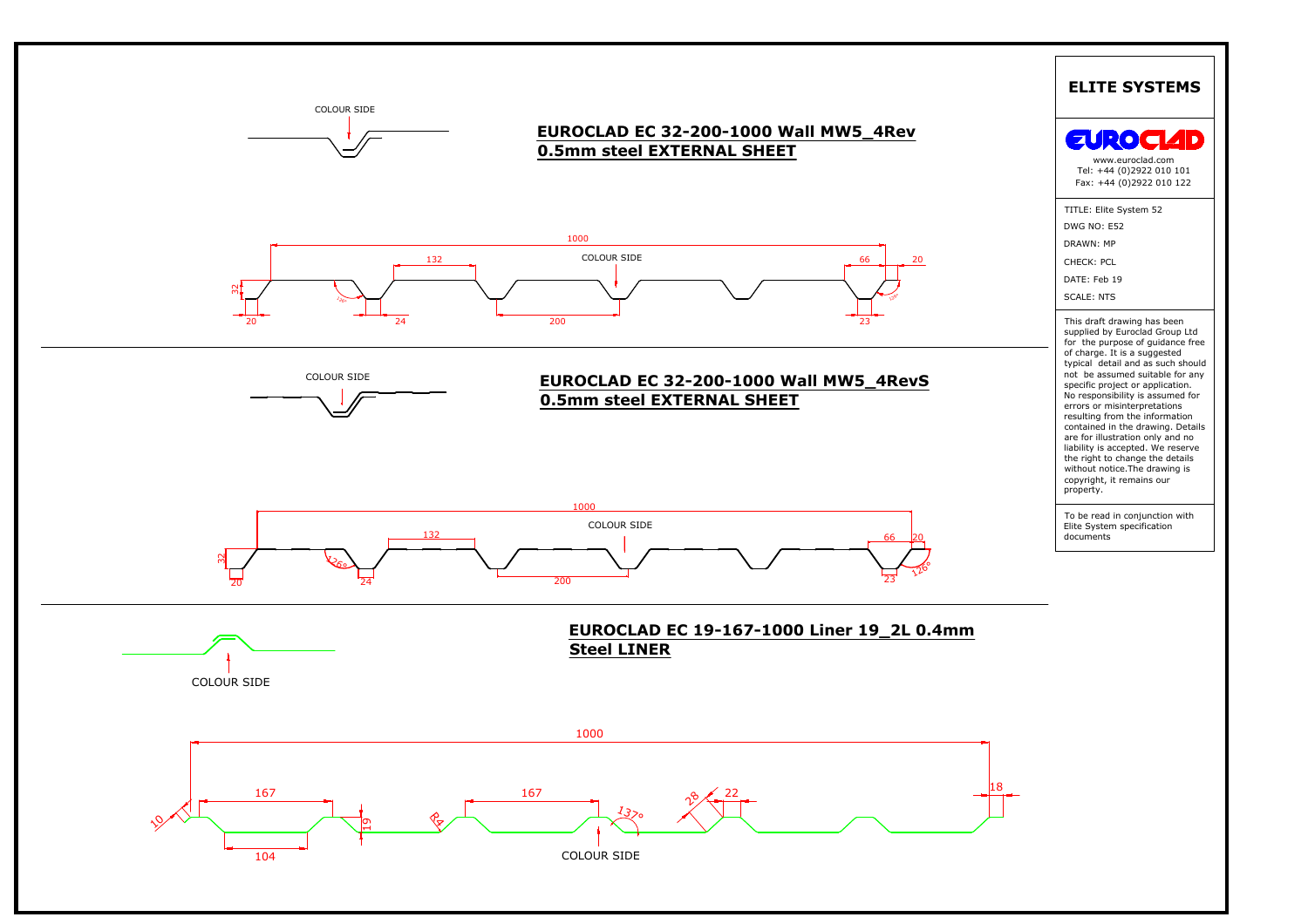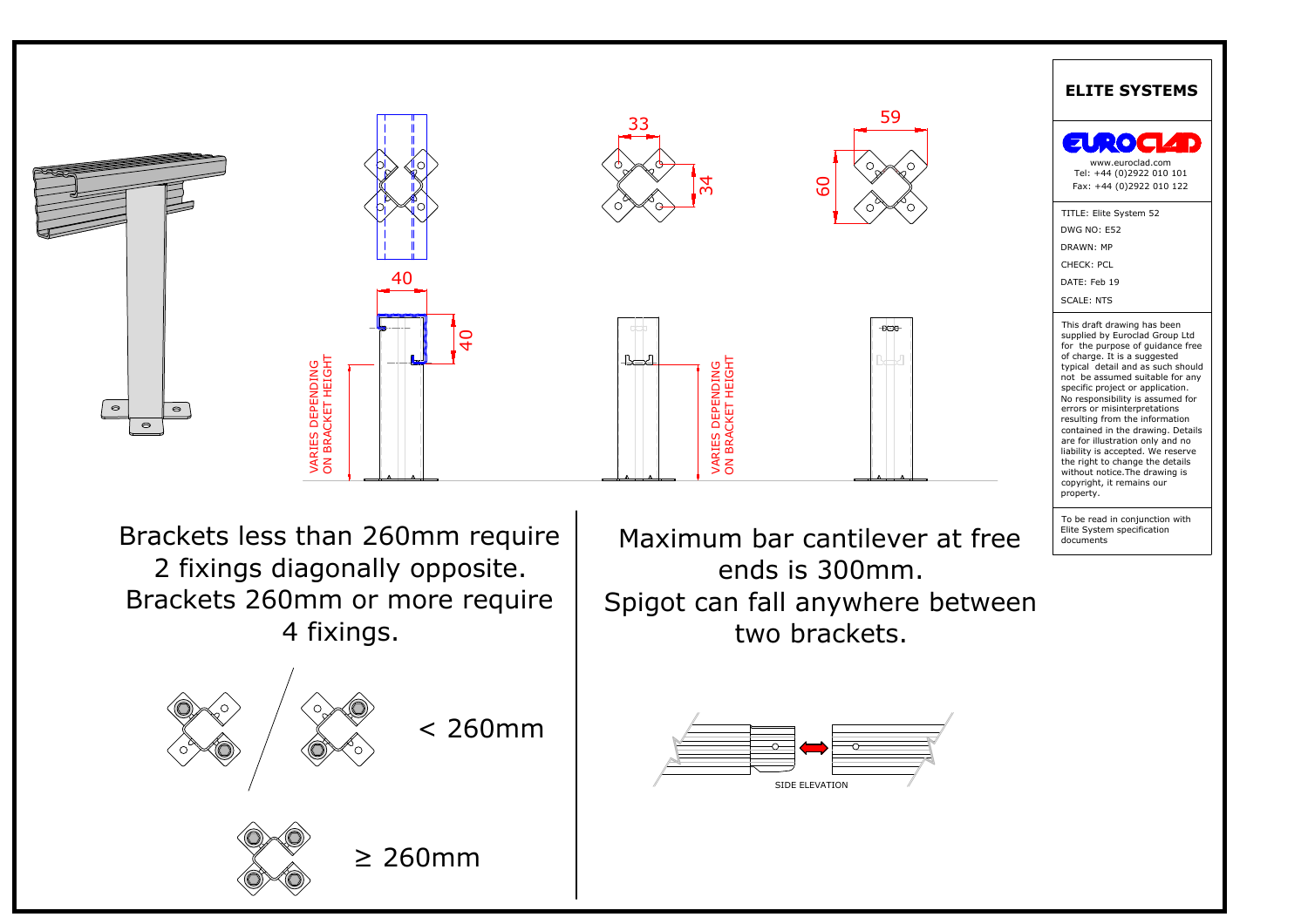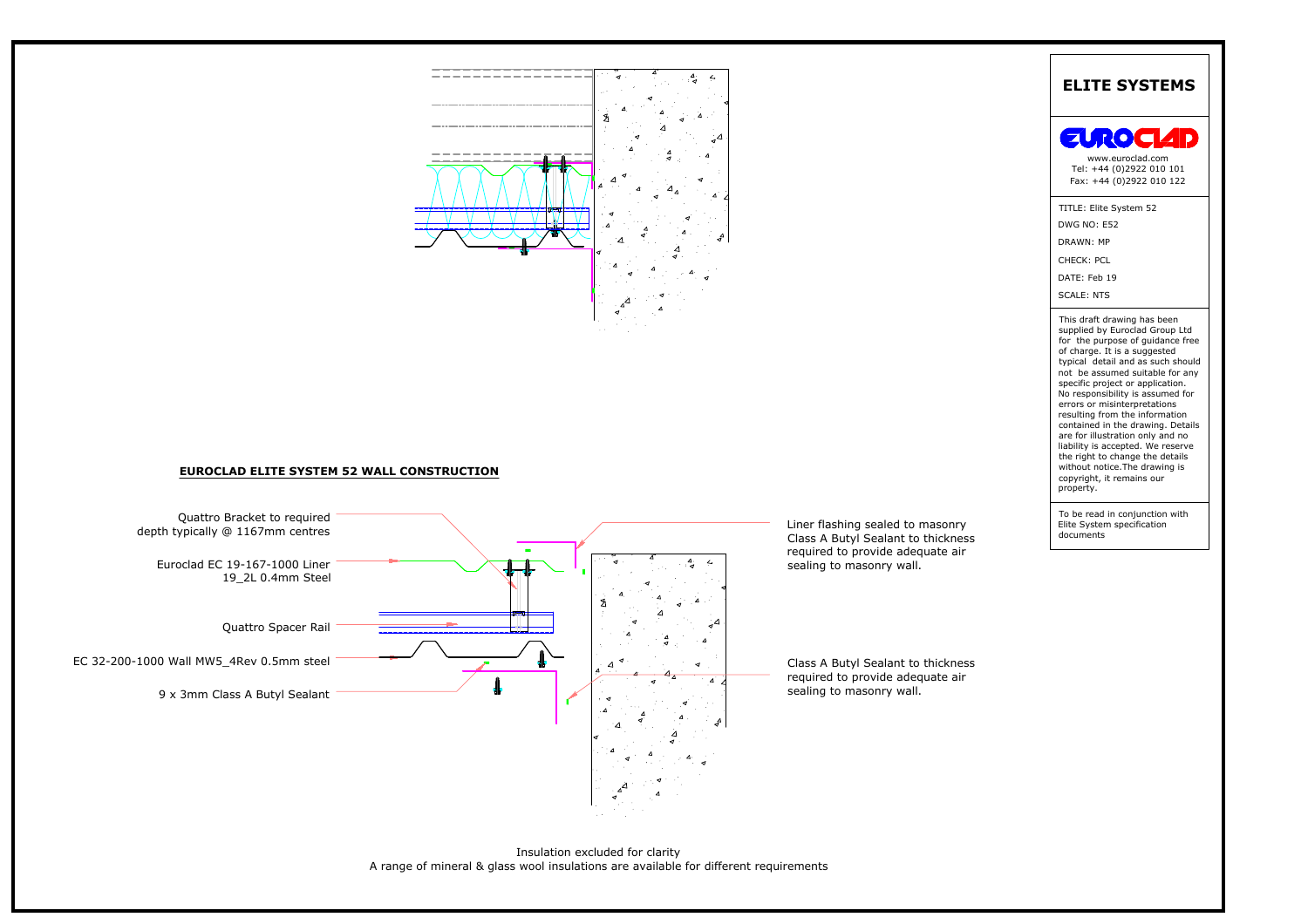



Insulation excluded for clarity<br>A range of mineral & glass wool insulations are available for different requirements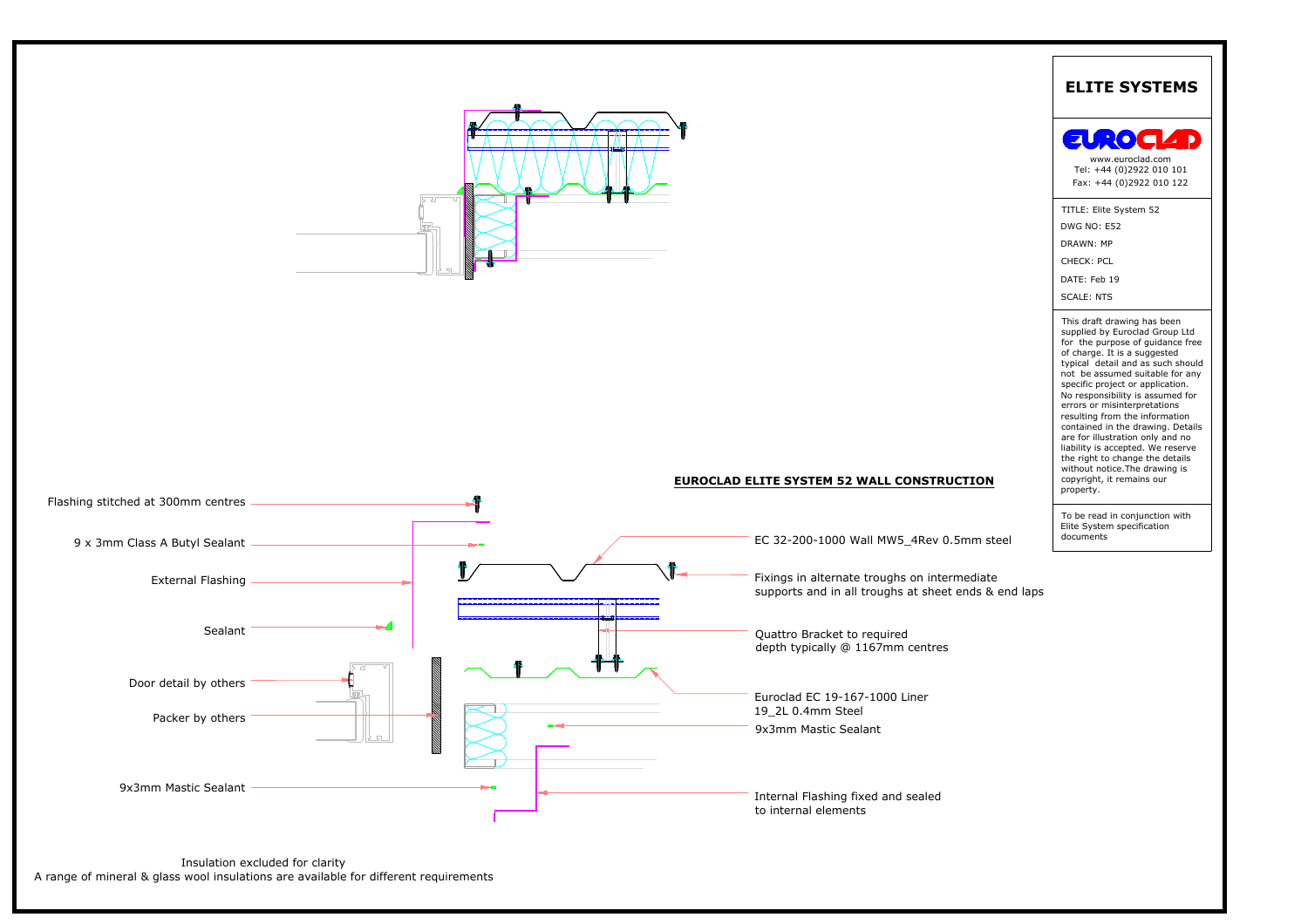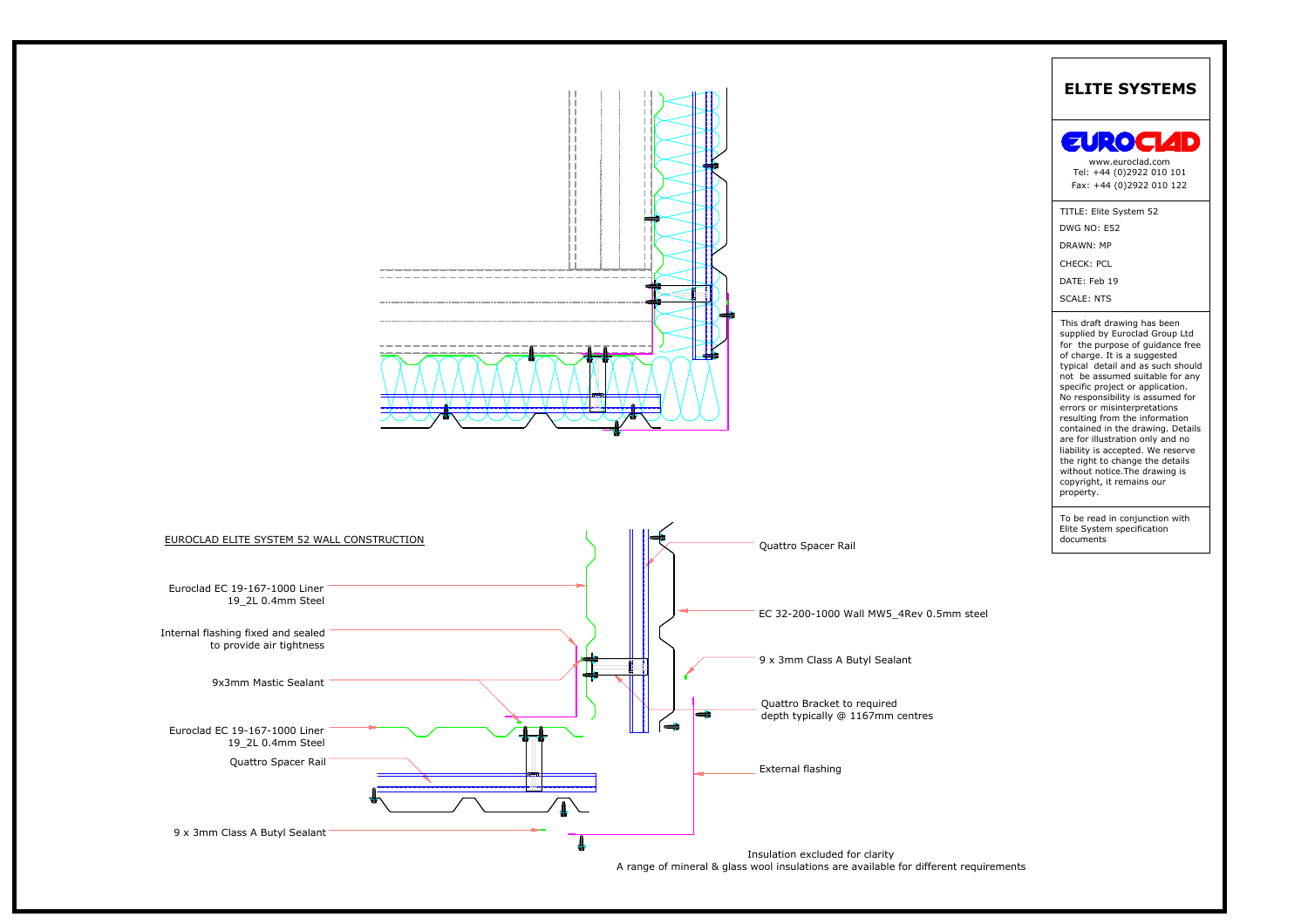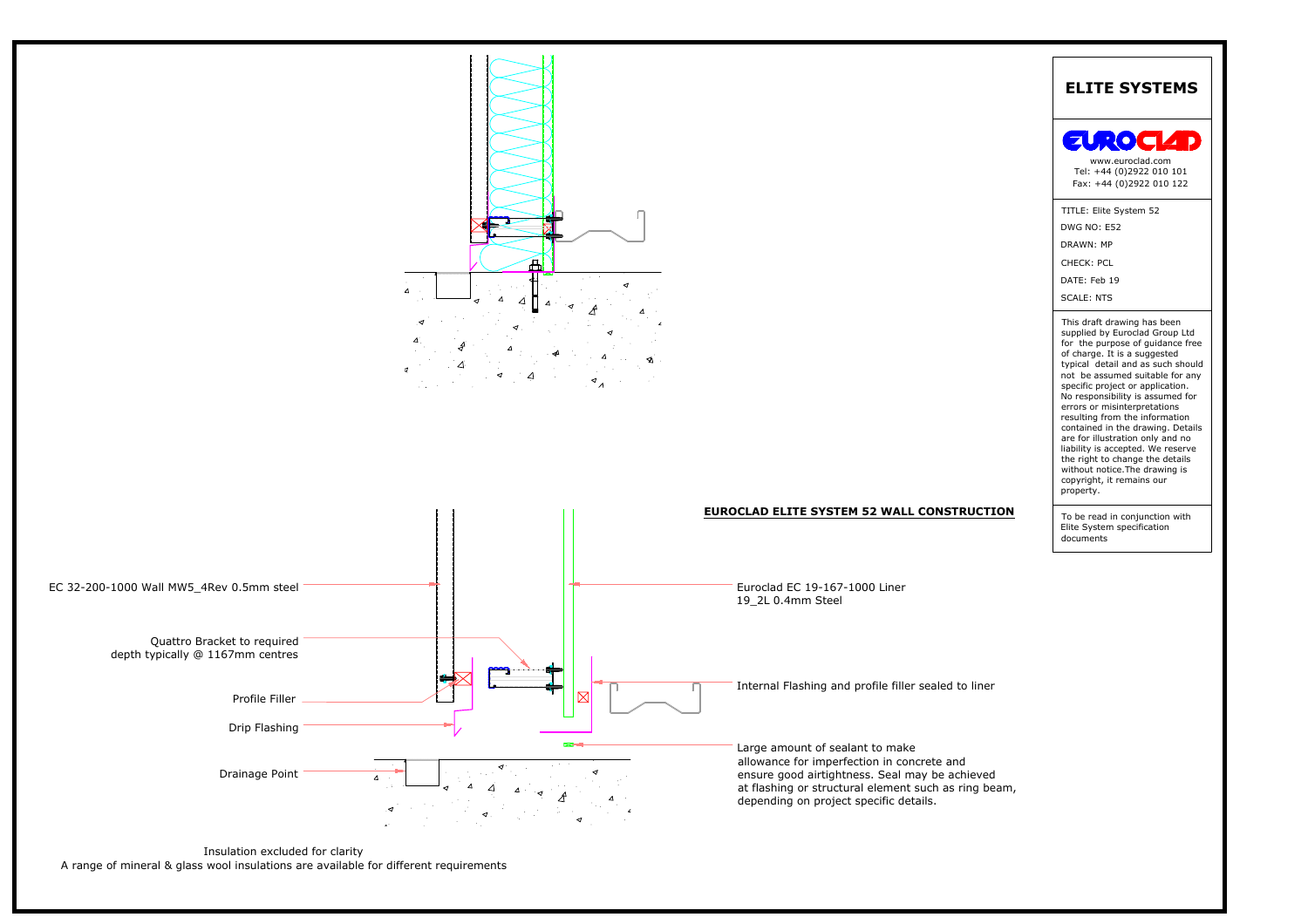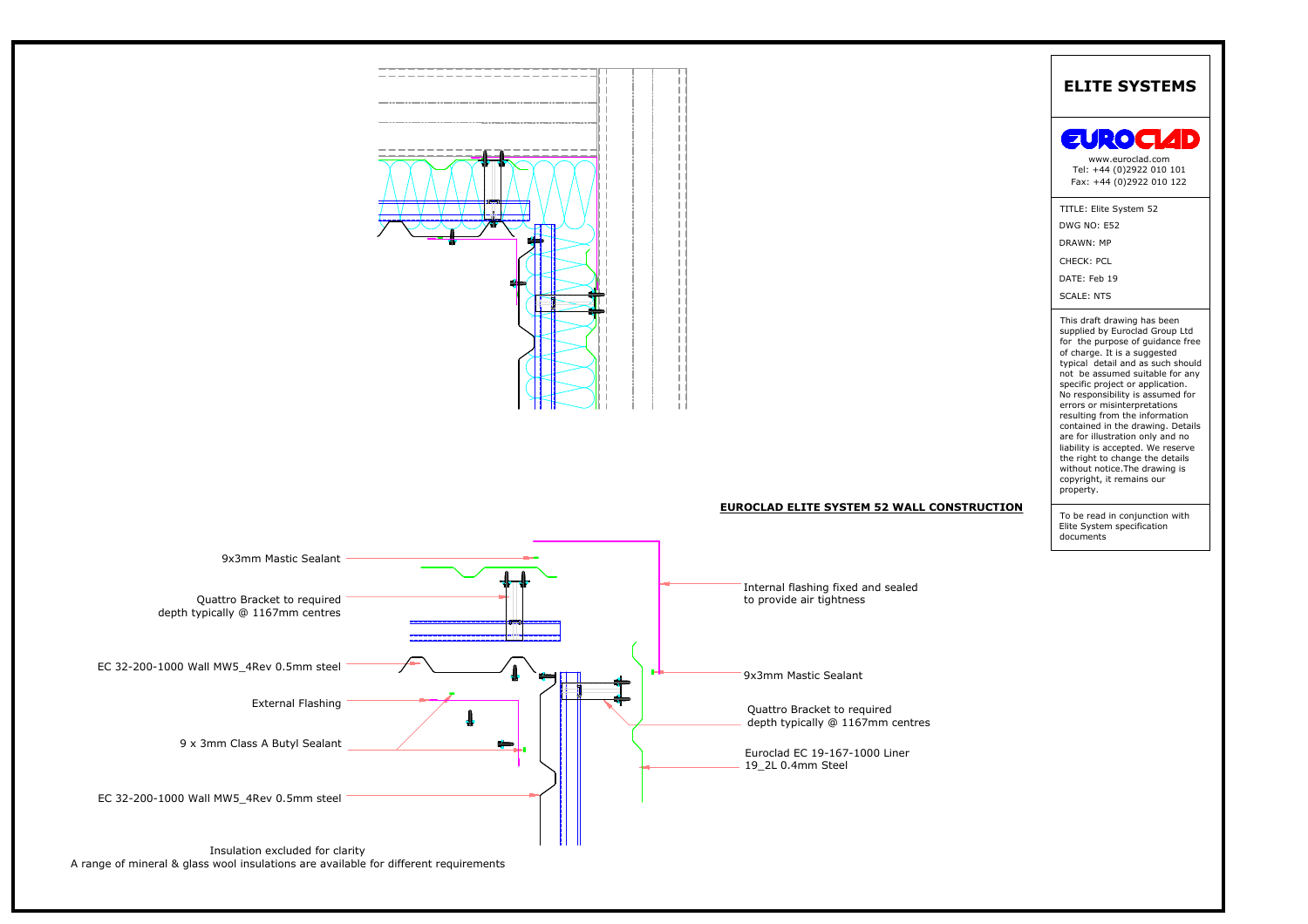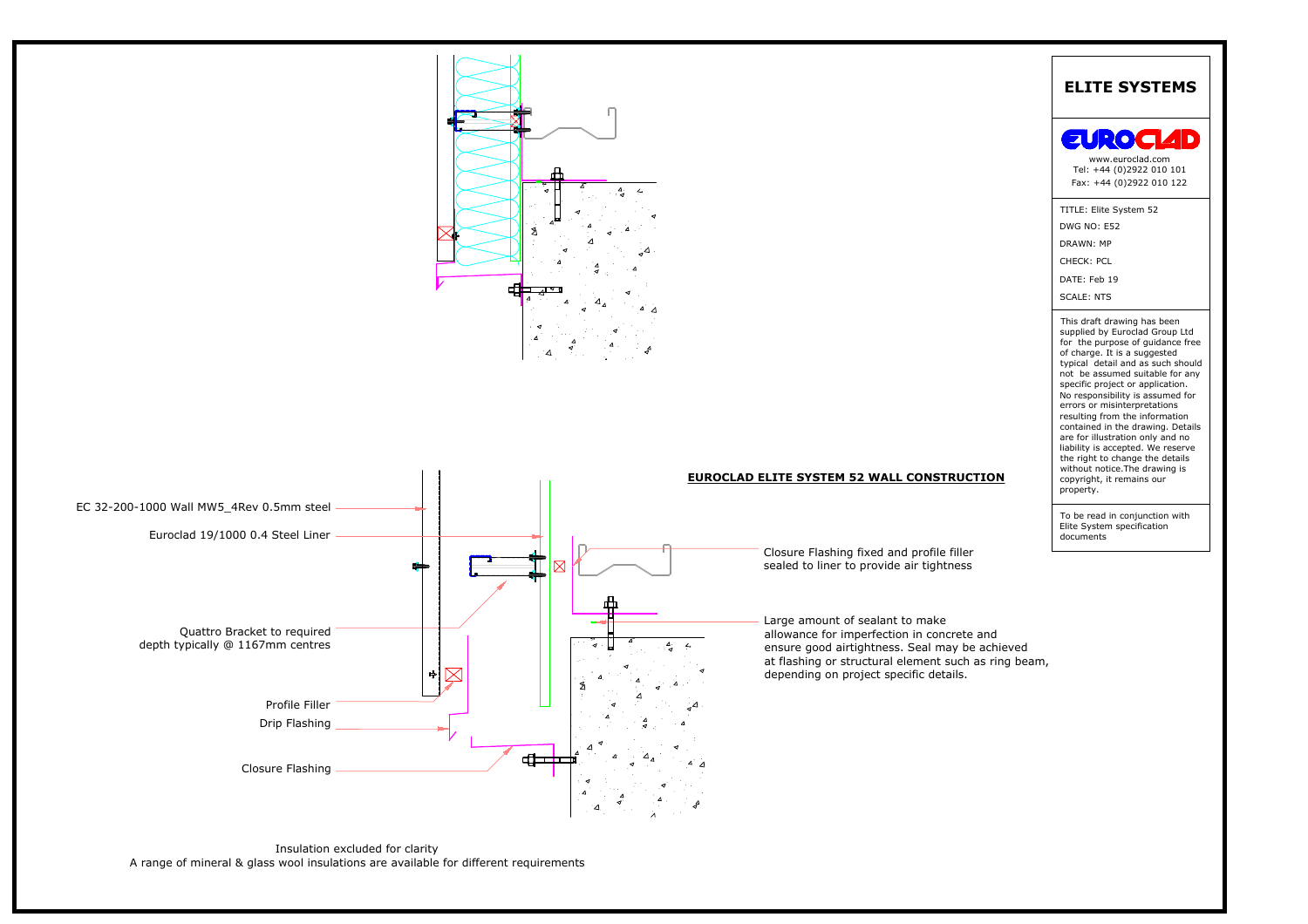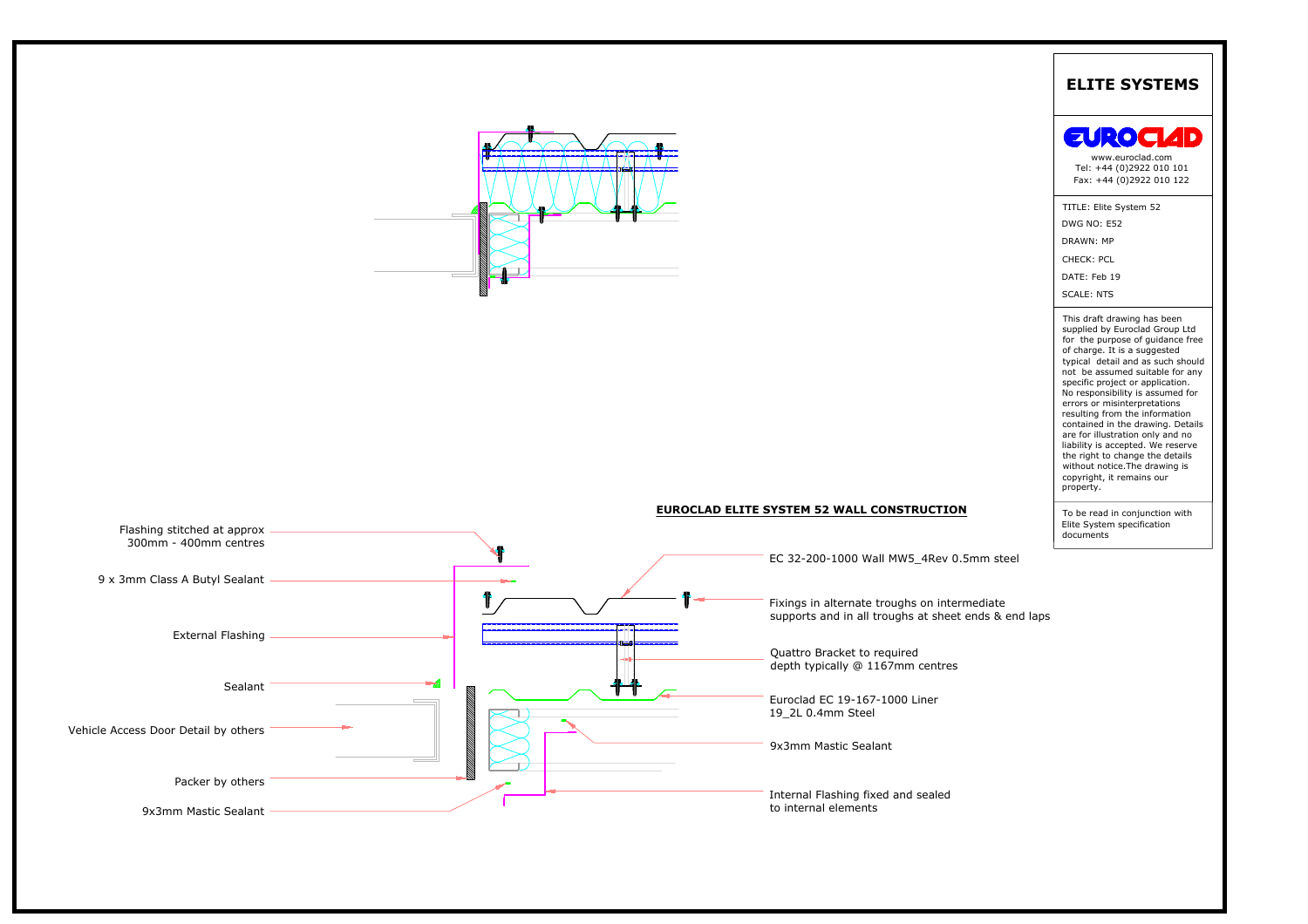



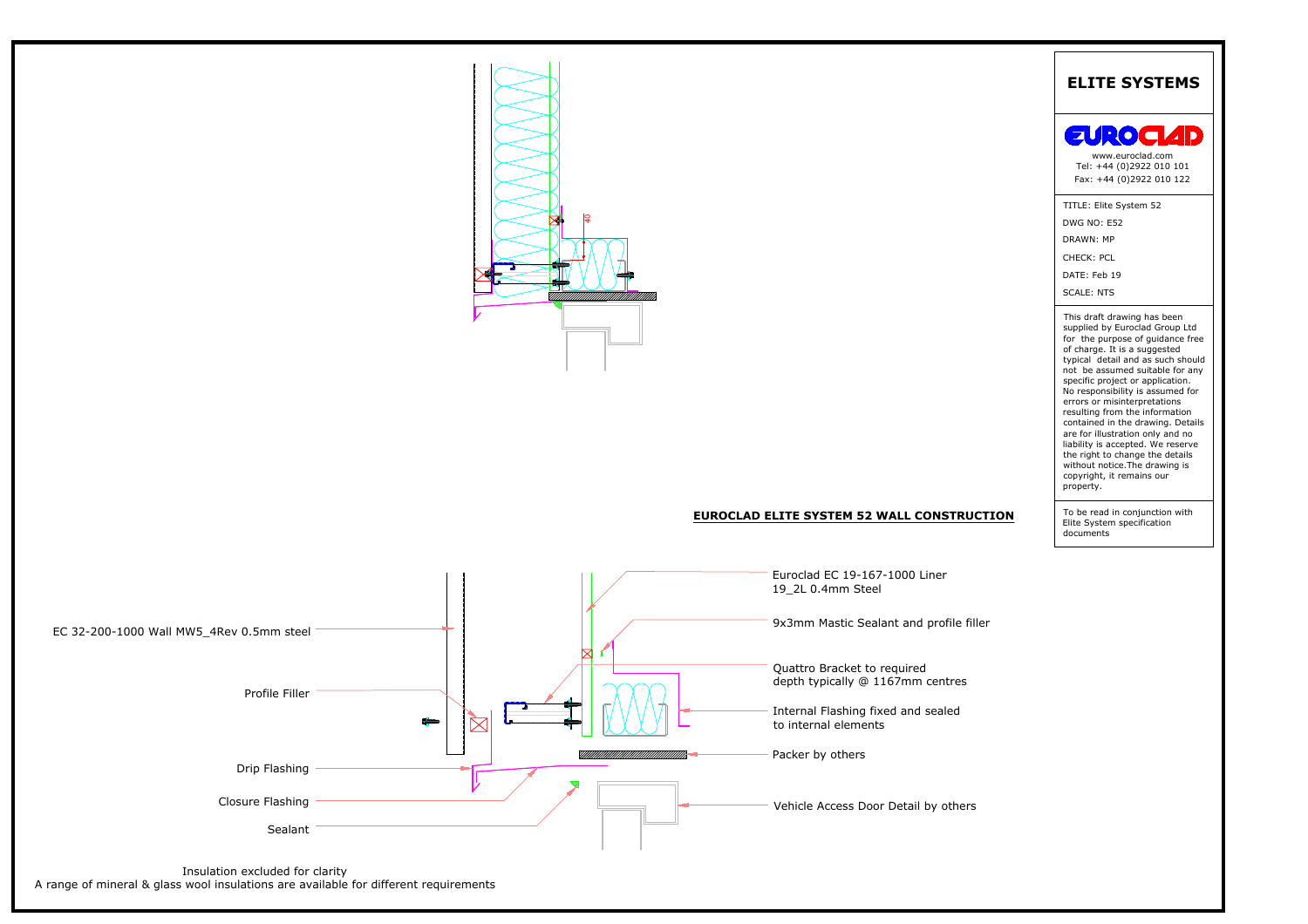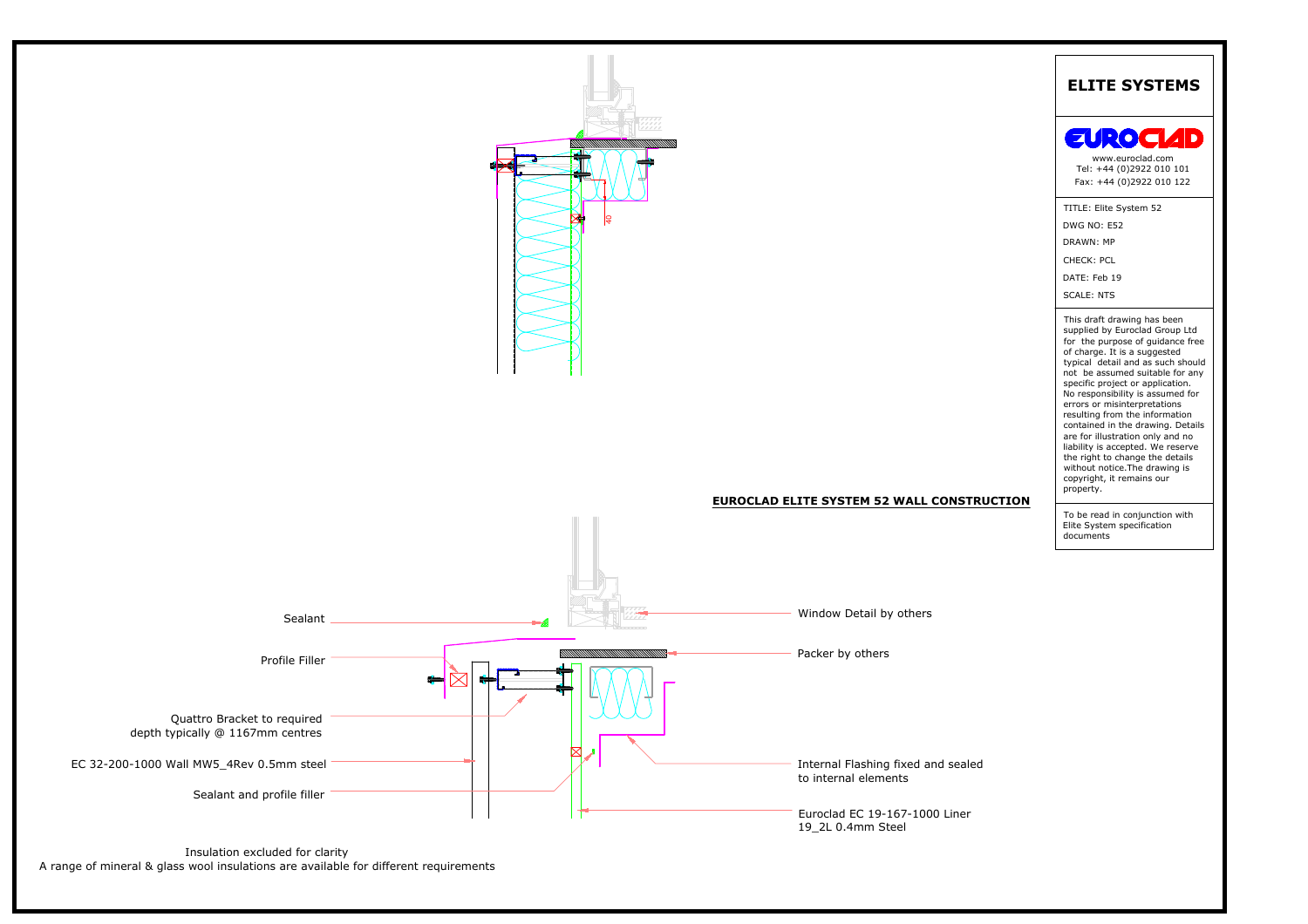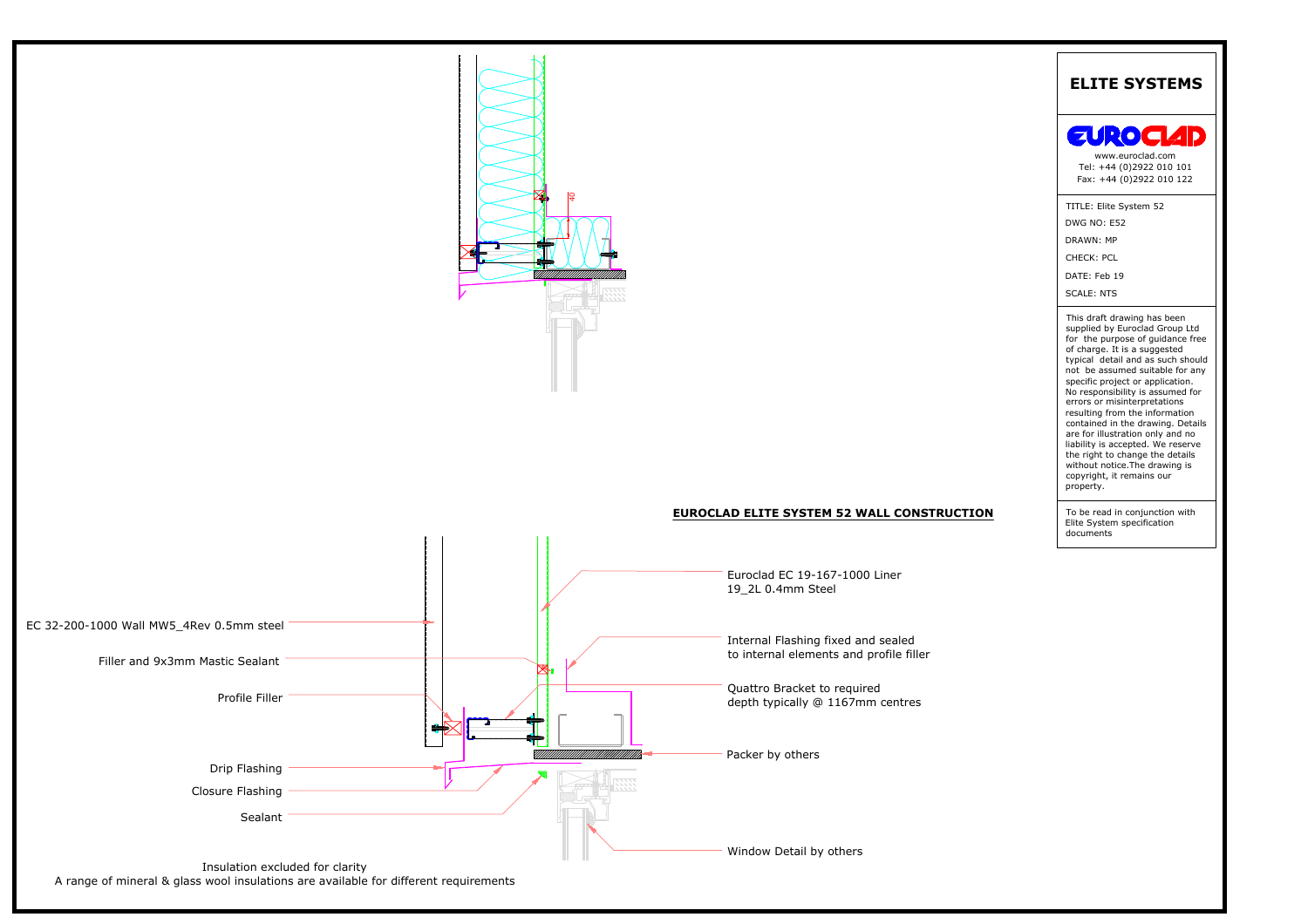

# **EUROCLAD ELITE SYSTEM 52 WALL CONSTRUCTION**



A range of mineral & glass wool insulations are available for different requirements